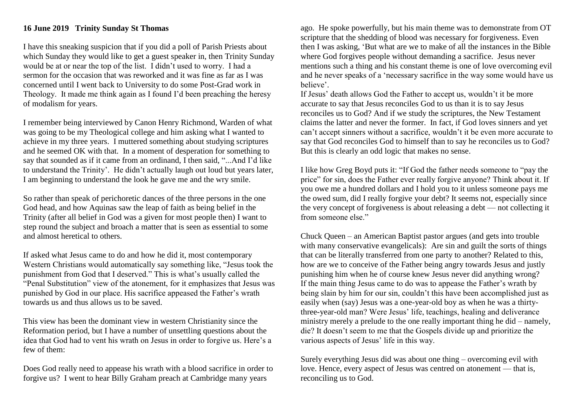## **16 June 2019 Trinity Sunday St Thomas**

I have this sneaking suspicion that if you did a poll of Parish Priests about which Sunday they would like to get a guest speaker in, then Trinity Sunday would be at or near the top of the list. I didn't used to worry. I had a sermon for the occasion that was reworked and it was fine as far as I was concerned until I went back to University to do some Post-Grad work in Theology. It made me think again as I found I'd been preaching the heresy of modalism for years.

I remember being interviewed by Canon Henry Richmond, Warden of what was going to be my Theological college and him asking what I wanted to achieve in my three years. I muttered something about studying scriptures and he seemed OK with that. In a moment of desperation for something to say that sounded as if it came from an ordinand, I then said, "...And I'd like to understand the Trinity'. He didn't actually laugh out loud but years later, I am beginning to understand the look he gave me and the wry smile.

So rather than speak of perichoretic dances of the three persons in the one God head, and how Aquinas saw the leap of faith as being belief in the Trinity (after all belief in God was a given for most people then) I want to step round the subject and broach a matter that is seen as essential to some and almost heretical to others.

If asked what Jesus came to do and how he did it, most contemporary Western Christians would automatically say something like, "Jesus took the punishment from God that I deserved." This is what's usually called the "Penal Substitution" view of the atonement, for it emphasizes that Jesus was punished by God in our place. His sacrifice appeased the Father's wrath towards us and thus allows us to be saved.

This view has been the dominant view in western Christianity since the Reformation period, but I have a number of unsettling questions about the idea that God had to vent his wrath on Jesus in order to forgive us. Here's a few of them:

Does God really need to appease his wrath with a blood sacrifice in order to forgive us? I went to hear Billy Graham preach at Cambridge many years

ago. He spoke powerfully, but his main theme was to demonstrate from OT scripture that the shedding of blood was necessary for forgiveness. Even then I was asking, 'But what are we to make of all the instances in the Bible where God forgives people without demanding a sacrifice. Jesus never mentions such a thing and his constant theme is one of love overcoming evil and he never speaks of a 'necessary sacrifice in the way some would have us believe'.

If Jesus' death allows God the Father to accept us, wouldn't it be more accurate to say that Jesus reconciles God to us than it is to say Jesus reconciles us to God? And if we study the scriptures, the New Testament claims the latter and never the former. In fact, if God loves sinners and yet can't accept sinners without a sacrifice, wouldn't it be even more accurate to say that God reconciles God to himself than to say he reconciles us to God? But this is clearly an odd logic that makes no sense.

I like how Greg Boyd puts it: "If God the father needs someone to "pay the price" for sin, does the Father ever really forgive anyone? Think about it. If you owe me a hundred dollars and I hold you to it unless someone pays me the owed sum, did I really forgive your debt? It seems not, especially since the very concept of forgiveness is about releasing a debt — not collecting it from someone else."

Chuck Queen – an American Baptist pastor argues (and gets into trouble with many conservative evangelicals): Are sin and guilt the sorts of things that can be literally transferred from one party to another? Related to this, how are we to conceive of the Father being angry towards Jesus and justly punishing him when he of course knew Jesus never did anything wrong? If the main thing Jesus came to do was to appease the Father's wrath by being slain by him for our sin, couldn't this have been accomplished just as easily when (say) Jesus was a one-year-old boy as when he was a thirtythree-year-old man? Were Jesus' life, teachings, healing and deliverance ministry merely a prelude to the one really important thing he did – namely, die? It doesn't seem to me that the Gospels divide up and prioritize the various aspects of Jesus' life in this way.

Surely everything Jesus did was about one thing – overcoming evil with love. Hence, every aspect of Jesus was centred on atonement — that is, reconciling us to God.